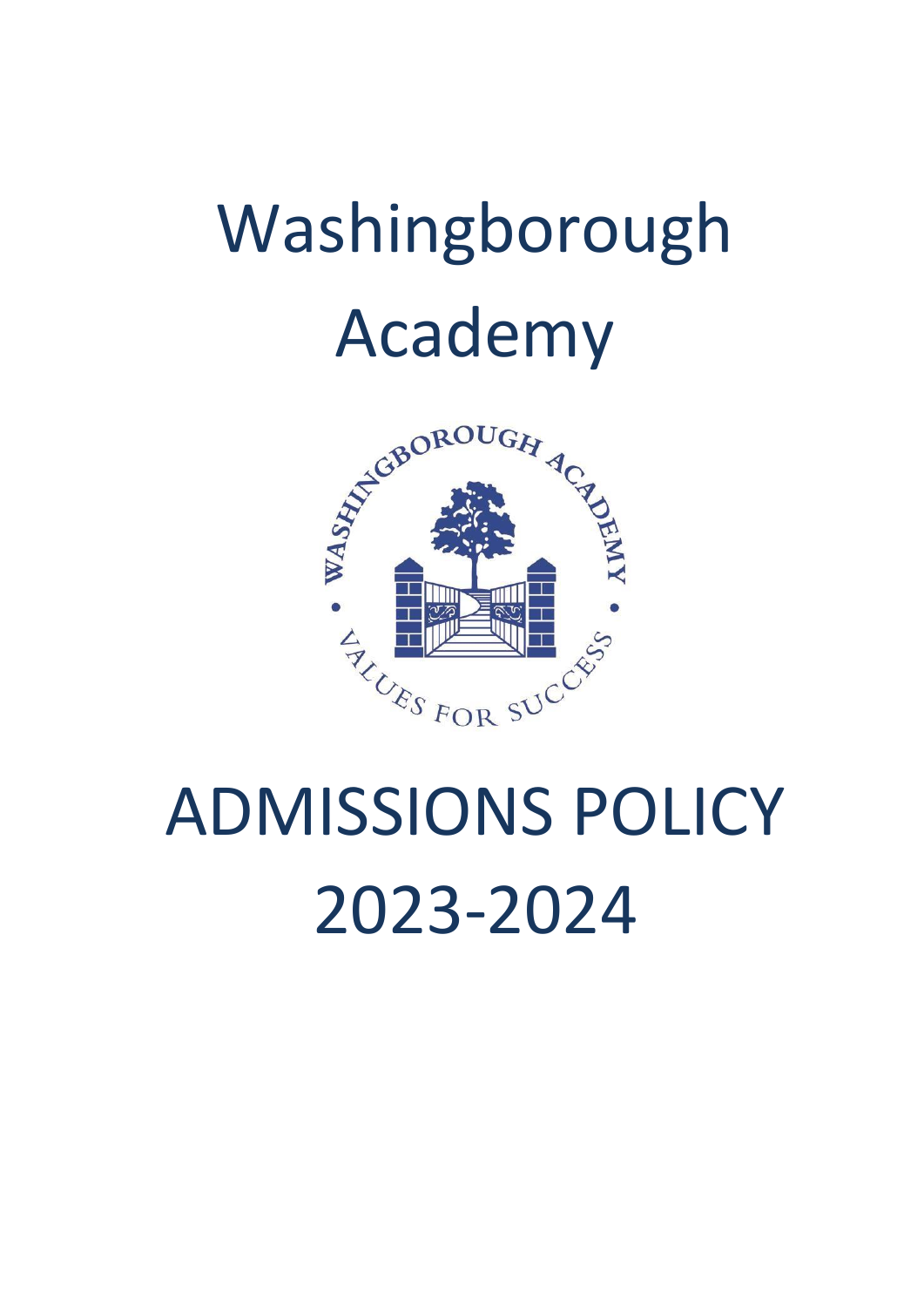# Washingborough



# ADMISSIONS POLICY 2023-2024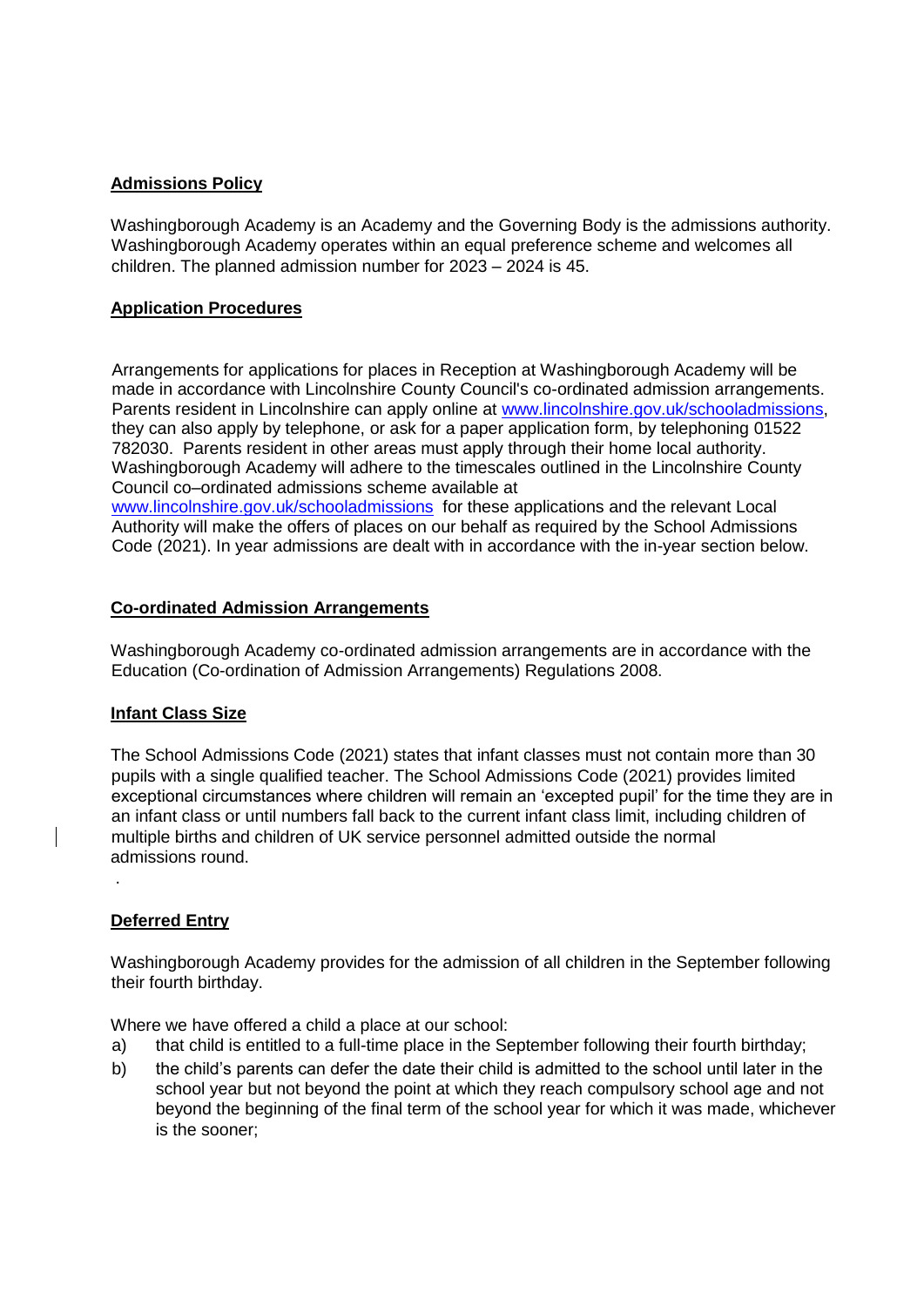# **Admissions Policy**

Washingborough Academy is an Academy and the Governing Body is the admissions authority. Washingborough Academy operates within an equal preference scheme and welcomes all children. The planned admission number for 2023 – 2024 is 45.

# **Application Procedures**

Arrangements for applications for places in Reception at Washingborough Academy will be made in accordance with Lincolnshire County Council's co-ordinated admission arrangements. Parents resident in Lincolnshire can apply online at [www.lincolnshire.gov.uk/schooladmissions,](http://www.lincolnshire.gov.uk/schooladmissions) they can also apply by telephone, or ask for a paper application form, by telephoning 01522 782030. Parents resident in other areas must apply through their home local authority. Washingborough Academy will adhere to the timescales outlined in the Lincolnshire County Council co–ordinated admissions scheme available at [www.lincolnshire.gov.uk/schooladmissions](http://www.lincolnshire.gov.uk/schooladmissions) for these applications and the relevant Local Authority will make the offers of places on our behalf as required by the School Admissions Code (2021). In year admissions are dealt with in accordance with the in-year section below.

# **Co-ordinated Admission Arrangements**

Washingborough Academy co-ordinated admission arrangements are in accordance with the Education (Co-ordination of Admission Arrangements) Regulations 2008.

# **Infant Class Size**

The School Admissions Code (2021) states that infant classes must not contain more than 30 pupils with a single qualified teacher. The School Admissions Code (2021) provides limited exceptional circumstances where children will remain an 'excepted pupil' for the time they are in an infant class or until numbers fall back to the current infant class limit, including children of multiple births and children of UK service personnel admitted outside the normal admissions round.

# **Deferred Entry**

.

Washingborough Academy provides for the admission of all children in the September following their fourth birthday.

Where we have offered a child a place at our school:

- a) that child is entitled to a full-time place in the September following their fourth birthday;
- b) the child's parents can defer the date their child is admitted to the school until later in the school year but not beyond the point at which they reach compulsory school age and not beyond the beginning of the final term of the school year for which it was made, whichever is the sooner;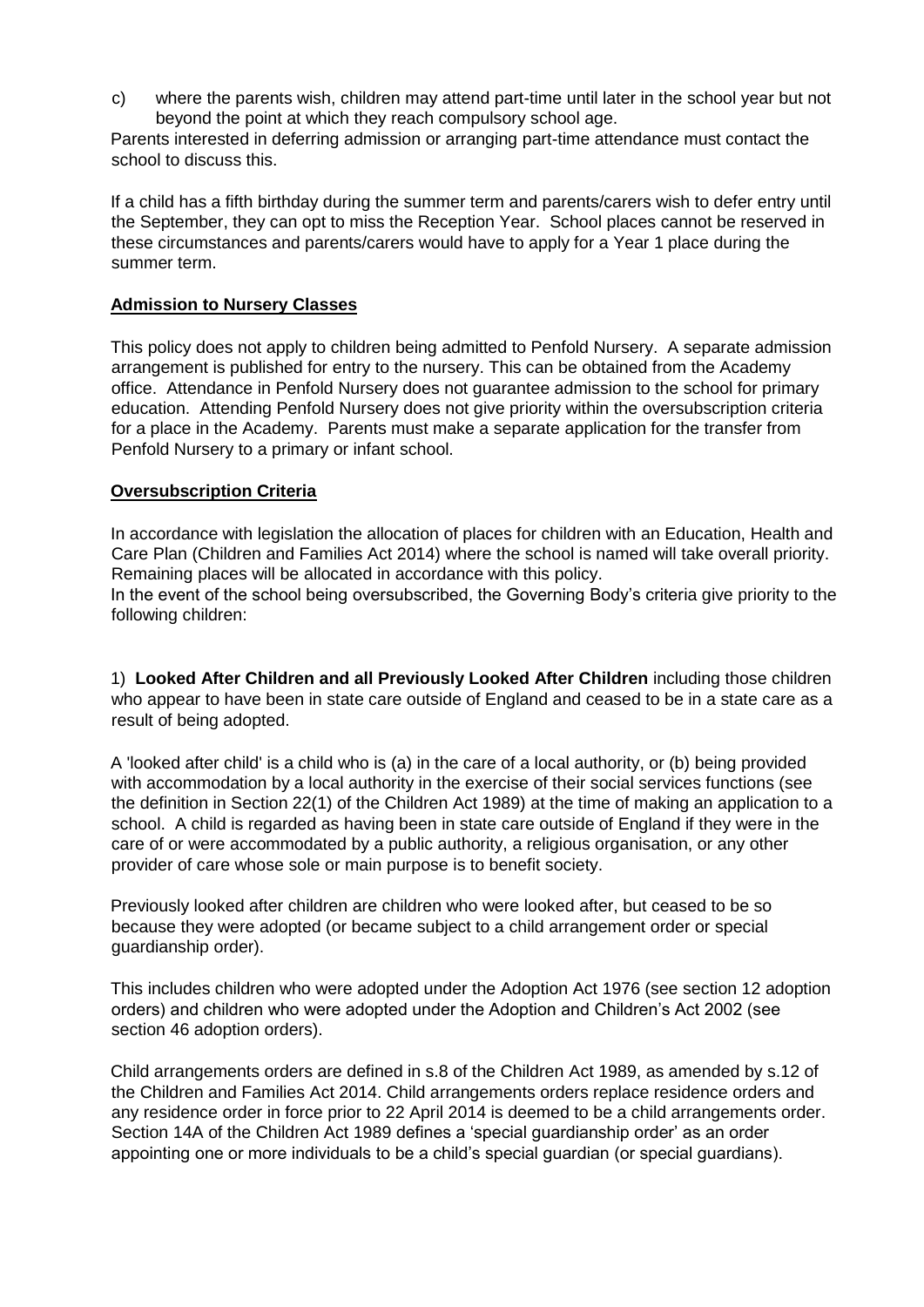c) where the parents wish, children may attend part-time until later in the school year but not beyond the point at which they reach compulsory school age.

Parents interested in deferring admission or arranging part-time attendance must contact the school to discuss this.

If a child has a fifth birthday during the summer term and parents/carers wish to defer entry until the September, they can opt to miss the Reception Year. School places cannot be reserved in these circumstances and parents/carers would have to apply for a Year 1 place during the summer term.

# **Admission to Nursery Classes**

This policy does not apply to children being admitted to Penfold Nursery. A separate admission arrangement is published for entry to the nursery. This can be obtained from the Academy office. Attendance in Penfold Nursery does not guarantee admission to the school for primary education. Attending Penfold Nursery does not give priority within the oversubscription criteria for a place in the Academy. Parents must make a separate application for the transfer from Penfold Nursery to a primary or infant school.

# **Oversubscription Criteria**

In accordance with legislation the allocation of places for children with an Education, Health and Care Plan (Children and Families Act 2014) where the school is named will take overall priority. Remaining places will be allocated in accordance with this policy. In the event of the school being oversubscribed, the Governing Body's criteria give priority to the following children:

1) **Looked After Children and all Previously Looked After Children** including those children who appear to have been in state care outside of England and ceased to be in a state care as a result of being adopted.

A 'looked after child' is a child who is (a) in the care of a local authority, or (b) being provided with accommodation by a local authority in the exercise of their social services functions (see the definition in Section 22(1) of the Children Act 1989) at the time of making an application to a school. A child is regarded as having been in state care outside of England if they were in the care of or were accommodated by a public authority, a religious organisation, or any other provider of care whose sole or main purpose is to benefit society.

Previously looked after children are children who were looked after, but ceased to be so because they were adopted (or became subject to a child arrangement order or special guardianship order).

This includes children who were adopted under the Adoption Act 1976 (see section 12 adoption orders) and children who were adopted under the Adoption and Children's Act 2002 (see section 46 adoption orders).

Child arrangements orders are defined in s.8 of the Children Act 1989, as amended by s.12 of the Children and Families Act 2014. Child arrangements orders replace residence orders and any residence order in force prior to 22 April 2014 is deemed to be a child arrangements order. Section 14A of the Children Act 1989 defines a 'special guardianship order' as an order appointing one or more individuals to be a child's special guardian (or special guardians).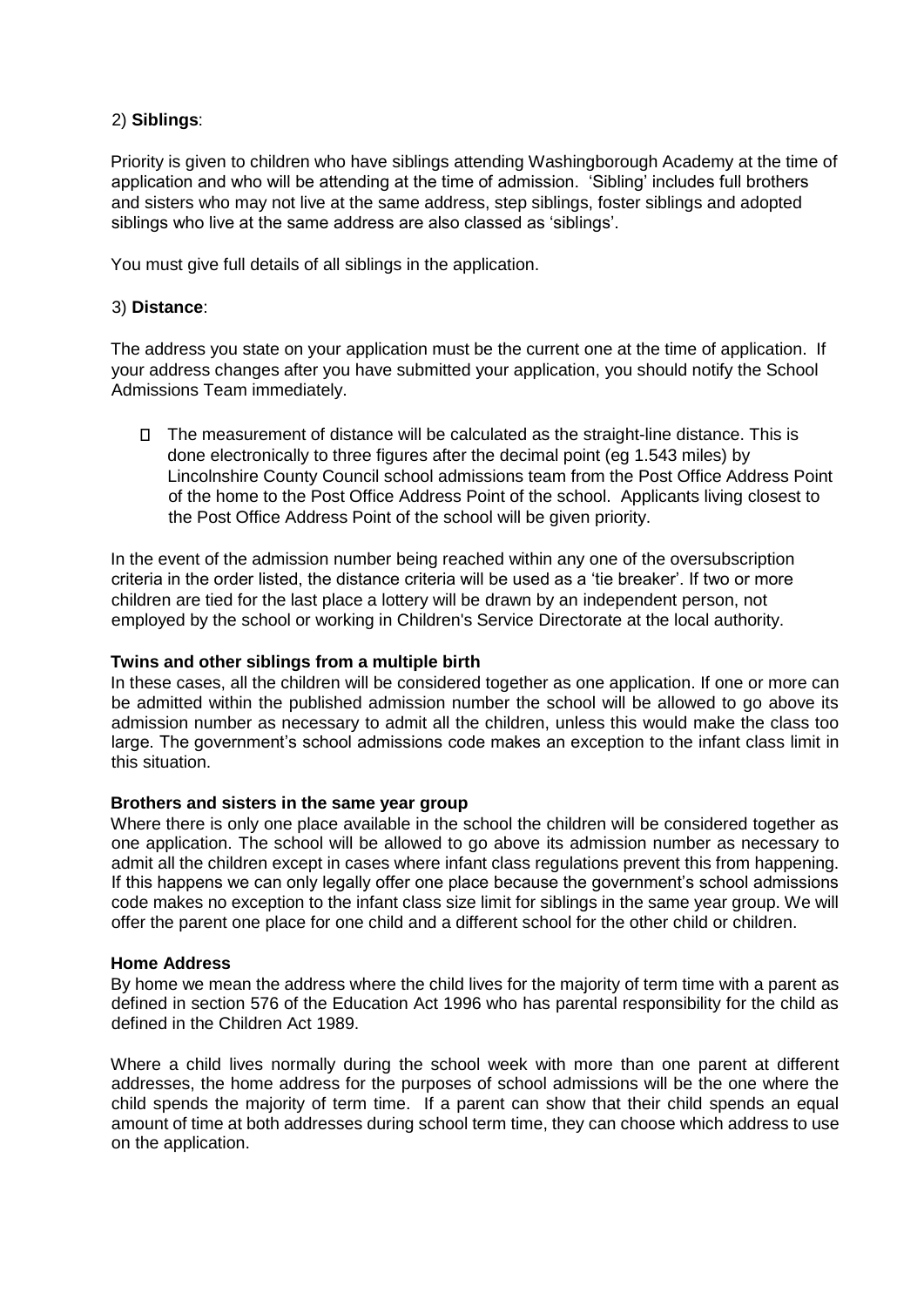# 2) **Siblings**:

Priority is given to children who have siblings attending Washingborough Academy at the time of application and who will be attending at the time of admission. 'Sibling' includes full brothers and sisters who may not live at the same address, step siblings, foster siblings and adopted siblings who live at the same address are also classed as 'siblings'.

You must give full details of all siblings in the application.

# 3) **Distance**:

The address you state on your application must be the current one at the time of application. If your address changes after you have submitted your application, you should notify the School Admissions Team immediately.

 $\Box$  The measurement of distance will be calculated as the straight-line distance. This is done electronically to three figures after the decimal point (eg 1.543 miles) by Lincolnshire County Council school admissions team from the Post Office Address Point of the home to the Post Office Address Point of the school. Applicants living closest to the Post Office Address Point of the school will be given priority.

In the event of the admission number being reached within any one of the oversubscription criteria in the order listed, the distance criteria will be used as a 'tie breaker'. If two or more children are tied for the last place a lottery will be drawn by an independent person, not employed by the school or working in Children's Service Directorate at the local authority.

#### **Twins and other siblings from a multiple birth**

In these cases, all the children will be considered together as one application. If one or more can be admitted within the published admission number the school will be allowed to go above its admission number as necessary to admit all the children, unless this would make the class too large. The government's school admissions code makes an exception to the infant class limit in this situation.

#### **Brothers and sisters in the same year group**

Where there is only one place available in the school the children will be considered together as one application. The school will be allowed to go above its admission number as necessary to admit all the children except in cases where infant class regulations prevent this from happening. If this happens we can only legally offer one place because the government's school admissions code makes no exception to the infant class size limit for siblings in the same year group. We will offer the parent one place for one child and a different school for the other child or children.

#### **Home Address**

By home we mean the address where the child lives for the majority of term time with a parent as defined in section 576 of the Education Act 1996 who has parental responsibility for the child as defined in the Children Act 1989.

Where a child lives normally during the school week with more than one parent at different addresses, the home address for the purposes of school admissions will be the one where the child spends the majority of term time. If a parent can show that their child spends an equal amount of time at both addresses during school term time, they can choose which address to use on the application.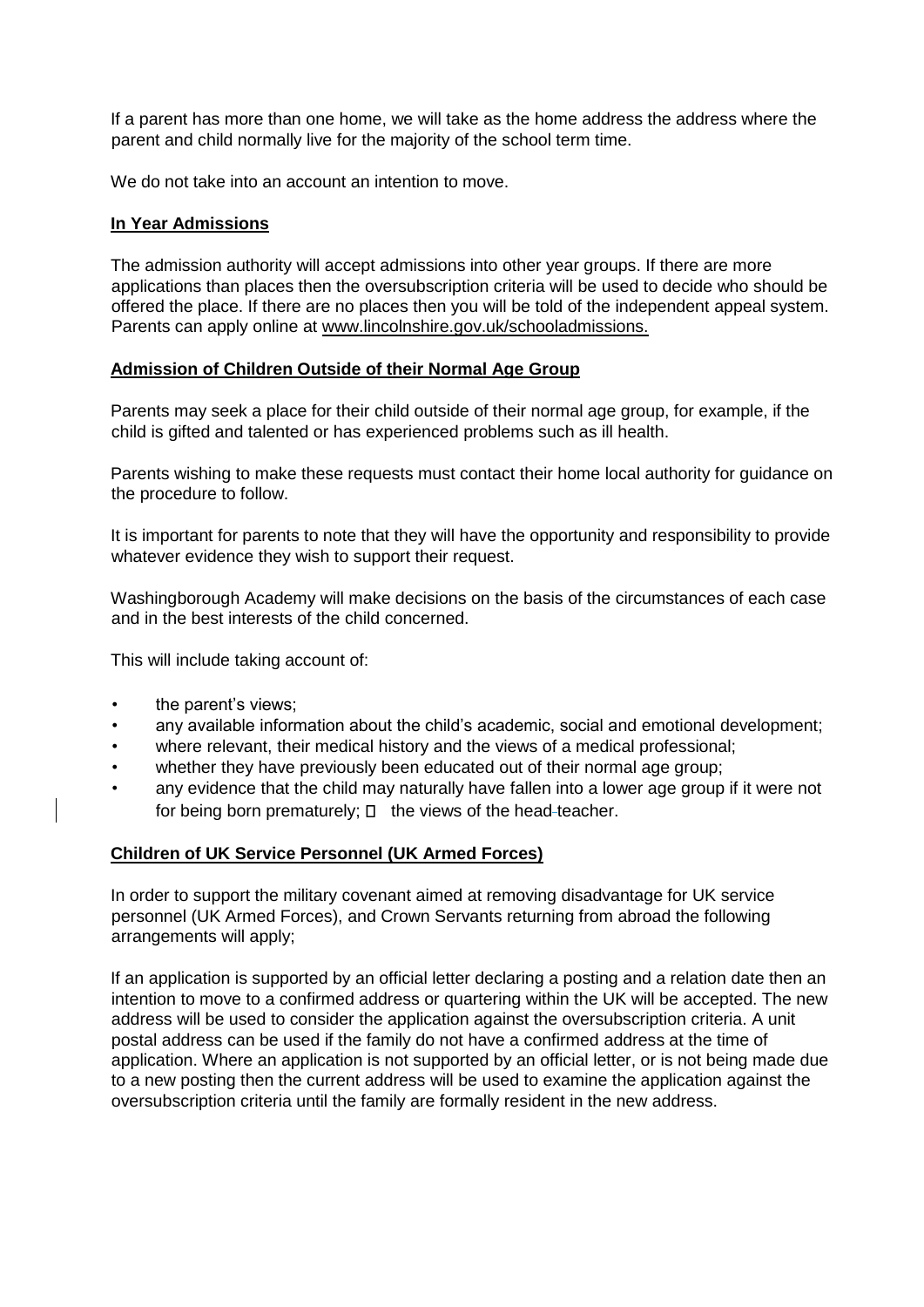If a parent has more than one home, we will take as the home address the address where the parent and child normally live for the majority of the school term time.

We do not take into an account an intention to move.

# **In Year Admissions**

The admission authority will accept admissions into other year groups. If there are more applications than places then the oversubscription criteria will be used to decide who should be offered the place. If there are no places then you will be told of the independent appeal system. Parents can apply online at [www.lincolnshire.gov.uk/schooladmissions.](http://www.lincolnshire.gov.uk/schooladmissions)

# **Admission of Children Outside of their Normal Age Group**

Parents may seek a place for their child outside of their normal age group, for example, if the child is gifted and talented or has experienced problems such as ill health.

Parents wishing to make these requests must contact their home local authority for guidance on the procedure to follow.

It is important for parents to note that they will have the opportunity and responsibility to provide whatever evidence they wish to support their request.

Washingborough Academy will make decisions on the basis of the circumstances of each case and in the best interests of the child concerned.

This will include taking account of:

- the parent's views;
- any available information about the child's academic, social and emotional development;
- where relevant, their medical history and the views of a medical professional;
- whether they have previously been educated out of their normal age group;
- any evidence that the child may naturally have fallen into a lower age group if it were not for being born prematurely;  $\Box$  the views of the head-teacher.

# **Children of UK Service Personnel (UK Armed Forces)**

In order to support the military covenant aimed at removing disadvantage for UK service personnel (UK Armed Forces), and Crown Servants returning from abroad the following arrangements will apply;

If an application is supported by an official letter declaring a posting and a relation date then an intention to move to a confirmed address or quartering within the UK will be accepted. The new address will be used to consider the application against the oversubscription criteria. A unit postal address can be used if the family do not have a confirmed address at the time of application. Where an application is not supported by an official letter, or is not being made due to a new posting then the current address will be used to examine the application against the oversubscription criteria until the family are formally resident in the new address.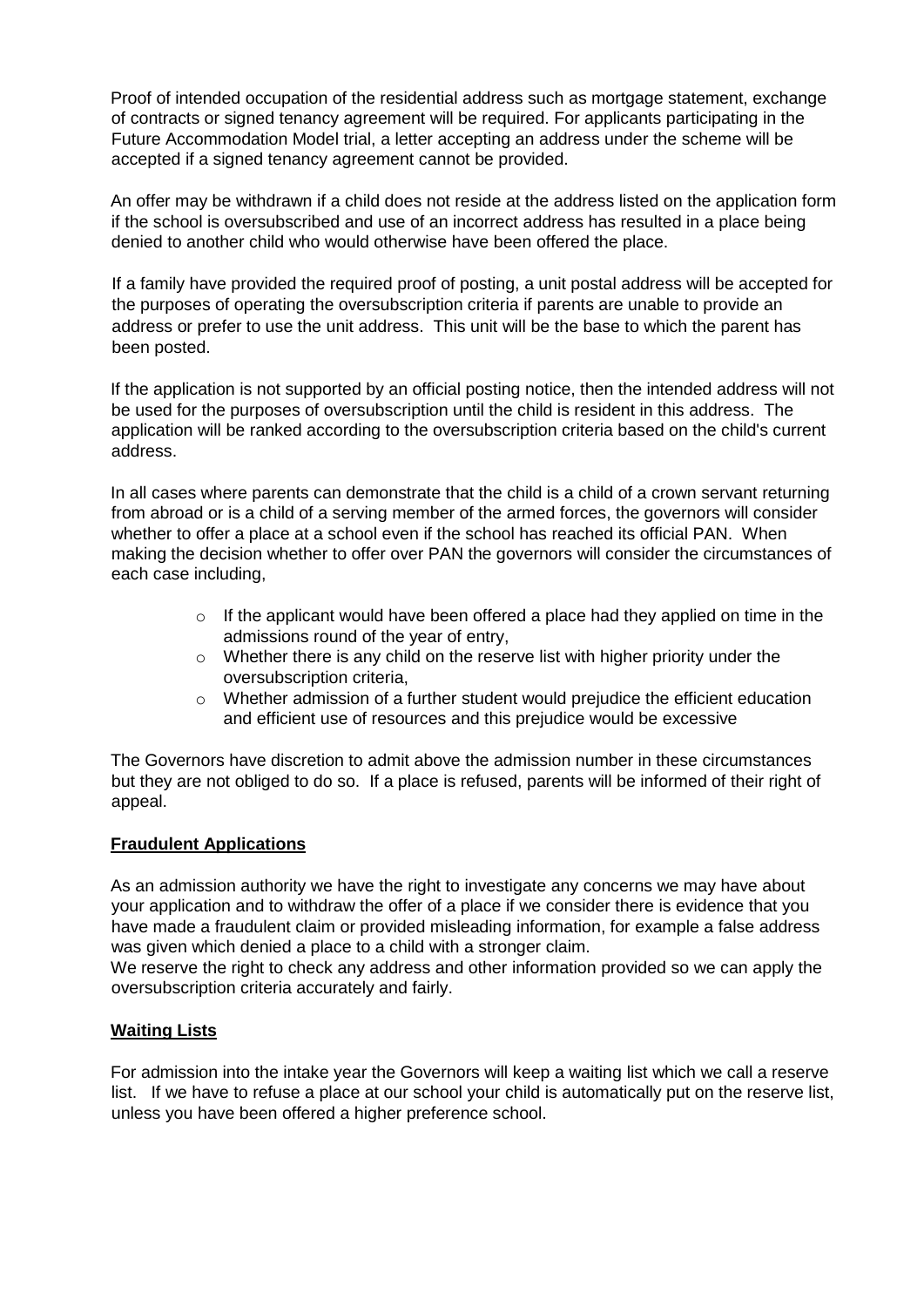Proof of intended occupation of the residential address such as mortgage statement, exchange of contracts or signed tenancy agreement will be required. For applicants participating in the Future Accommodation Model trial, a letter accepting an address under the scheme will be accepted if a signed tenancy agreement cannot be provided.

An offer may be withdrawn if a child does not reside at the address listed on the application form if the school is oversubscribed and use of an incorrect address has resulted in a place being denied to another child who would otherwise have been offered the place.

If a family have provided the required proof of posting, a unit postal address will be accepted for the purposes of operating the oversubscription criteria if parents are unable to provide an address or prefer to use the unit address. This unit will be the base to which the parent has been posted.

If the application is not supported by an official posting notice, then the intended address will not be used for the purposes of oversubscription until the child is resident in this address. The application will be ranked according to the oversubscription criteria based on the child's current address.

In all cases where parents can demonstrate that the child is a child of a crown servant returning from abroad or is a child of a serving member of the armed forces, the governors will consider whether to offer a place at a school even if the school has reached its official PAN. When making the decision whether to offer over PAN the governors will consider the circumstances of each case including,

- o If the applicant would have been offered a place had they applied on time in the admissions round of the year of entry,
- $\circ$  Whether there is any child on the reserve list with higher priority under the oversubscription criteria,
- o Whether admission of a further student would prejudice the efficient education and efficient use of resources and this prejudice would be excessive

The Governors have discretion to admit above the admission number in these circumstances but they are not obliged to do so. If a place is refused, parents will be informed of their right of appeal.

# **Fraudulent Applications**

As an admission authority we have the right to investigate any concerns we may have about your application and to withdraw the offer of a place if we consider there is evidence that you have made a fraudulent claim or provided misleading information, for example a false address was given which denied a place to a child with a stronger claim.

We reserve the right to check any address and other information provided so we can apply the oversubscription criteria accurately and fairly.

# **Waiting Lists**

For admission into the intake year the Governors will keep a waiting list which we call a reserve list. If we have to refuse a place at our school your child is automatically put on the reserve list, unless you have been offered a higher preference school.